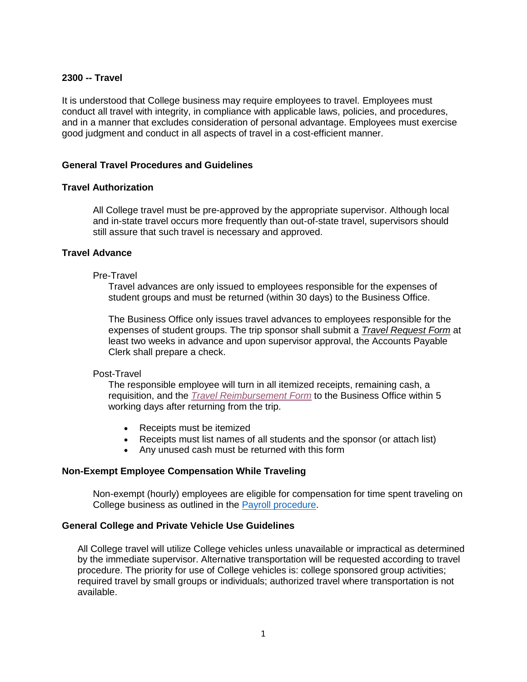# **2300 -- Travel**

It is understood that College business may require employees to travel. Employees must conduct all travel with integrity, in compliance with applicable laws, policies, and procedures, and in a manner that excludes consideration of personal advantage. Employees must exercise good judgment and conduct in all aspects of travel in a cost-efficient manner.

# **General Travel Procedures and Guidelines**

# **Travel Authorization**

All College travel must be pre-approved by the appropriate supervisor. Although local and in-state travel occurs more frequently than out-of-state travel, supervisors should still assure that such travel is necessary and approved.

### **Travel Advance**

### Pre-Travel

Travel advances are only issued to employees responsible for the expenses of student groups and must be returned (within 30 days) to the Business Office.

The Business Office only issues travel advances to employees responsible for the expenses of student groups. The trip sponsor shall submit a *[Travel Request Form](https://exsforms3.bartonccc.edu/employee/travel.htm)* at least two weeks in advance and upon supervisor approval, the Accounts Payable Clerk shall prepare a check.

### Post-Travel

The responsible employee will turn in all itemized receipts, remaining cash, a requisition, and the *[Travel Reimbursement](https://docs.bartonccc.edu/procedures/forms/TRAVEL_REIMBURSEMENT_FORM.xlsx) Form* to the Business Office within 5 working days after returning from the trip.

- Receipts must be itemized
- Receipts must list names of all students and the sponsor (or attach list)
- Any unused cash must be returned with this form

# **Non-Exempt Employee Compensation While Traveling**

Non-exempt (hourly) employees are eligible for compensation for time spent traveling on College business as outlined in the [Payroll procedure.](http://docs.bartonccc.edu/procedures/2490-payroll.pdf)

### **General College and Private Vehicle Use Guidelines**

All College travel will utilize College vehicles unless unavailable or impractical as determined by the immediate supervisor. Alternative transportation will be requested according to travel procedure. The priority for use of College vehicles is: college sponsored group activities; required travel by small groups or individuals; authorized travel where transportation is not available.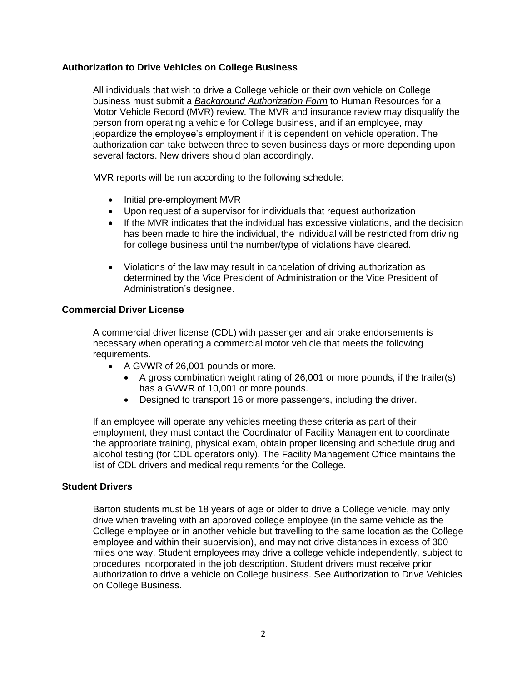# **Authorization to Drive Vehicles on College Business**

All individuals that wish to drive a College vehicle or their own vehicle on College business must submit a *[Background Authorization Form](http://docs.bartonccc.edu/humres/HRForms%20Center/Background%20Authorization%20Form%2001-13.pdf)* to Human Resources for a Motor Vehicle Record (MVR) review. The MVR and insurance review may disqualify the person from operating a vehicle for College business, and if an employee, may jeopardize the employee's employment if it is dependent on vehicle operation. The authorization can take between three to seven business days or more depending upon several factors. New drivers should plan accordingly.

MVR reports will be run according to the following schedule:

- Initial pre-employment MVR
- Upon request of a supervisor for individuals that request authorization
- If the MVR indicates that the individual has excessive violations, and the decision has been made to hire the individual, the individual will be restricted from driving for college business until the number/type of violations have cleared.
- Violations of the law may result in cancelation of driving authorization as determined by the Vice President of Administration or the Vice President of Administration's designee.

# **Commercial Driver License**

A commercial driver license (CDL) with passenger and air brake endorsements is necessary when operating a commercial motor vehicle that meets the following requirements.

- A GVWR of 26,001 pounds or more.
	- A gross combination weight rating of 26,001 or more pounds, if the trailer(s) has a GVWR of 10,001 or more pounds.
	- Designed to transport 16 or more passengers, including the driver.

If an employee will operate any vehicles meeting these criteria as part of their employment, they must contact the Coordinator of Facility Management to coordinate the appropriate training, physical exam, obtain proper licensing and schedule drug and alcohol testing (for CDL operators only). The Facility Management Office maintains the list of CDL drivers and medical requirements for the College.

### **Student Drivers**

Barton students must be 18 years of age or older to drive a College vehicle, may only drive when traveling with an approved college employee (in the same vehicle as the College employee or in another vehicle but travelling to the same location as the College employee and within their supervision), and may not drive distances in excess of 300 miles one way. Student employees may drive a college vehicle independently, subject to procedures incorporated in the job description. Student drivers must receive prior authorization to drive a vehicle on College business. See Authorization to Drive Vehicles on College Business.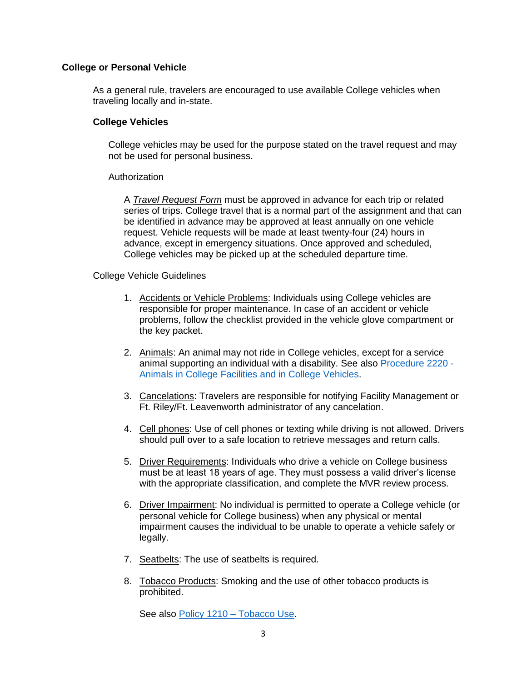# **College or Personal Vehicle**

As a general rule, travelers are encouraged to use available College vehicles when traveling locally and in-state.

### **College Vehicles**

College vehicles may be used for the purpose stated on the travel request and may not be used for personal business.

#### Authorization

A *Travel [Request Form](https://exsforms3.bartonccc.edu/employee/travel.htm)* must be approved in advance for each trip or related series of trips. College travel that is a normal part of the assignment and that can be identified in advance may be approved at least annually on one vehicle request. Vehicle requests will be made at least twenty-four (24) hours in advance, except in emergency situations. Once approved and scheduled, College vehicles may be picked up at the scheduled departure time.

#### College Vehicle Guidelines

- 1. Accidents or Vehicle Problems: Individuals using College vehicles are responsible for proper maintenance. In case of an accident or vehicle problems, follow the checklist provided in the vehicle glove compartment or the key packet.
- 2. Animals: An animal may not ride in College vehicles, except for a service animal supporting an individual with a disability. See also [Procedure](http://docs.bartonccc.edu/procedures/2220-animalsinfacilities.pdf) 2220 - [Animals in College Facilities and in College Vehicles.](http://docs.bartonccc.edu/procedures/2220-animalsinfacilities.pdf)
- 3. Cancelations: Travelers are responsible for notifying Facility Management or Ft. Riley/Ft. Leavenworth administrator of any cancelation.
- 4. Cell phones: Use of cell phones or texting while driving is not allowed. Drivers should pull over to a safe location to retrieve messages and return calls.
- 5. Driver Requirements: Individuals who drive a vehicle on College business must be at least 18 years of age. They must possess a valid driver's license with the appropriate classification, and complete the MVR review process.
- 6. Driver Impairment: No individual is permitted to operate a College vehicle (or personal vehicle for College business) when any physical or mental impairment causes the individual to be unable to operate a vehicle safely or legally.
- 7. Seatbelts: The use of seatbelts is required.
- 8. Tobacco Products: Smoking and the use of other tobacco products is prohibited.

See also Policy 1210 – [Tobacco Use.](https://docs.bartonccc.edu/policies/1210-tobaccouse.pdf)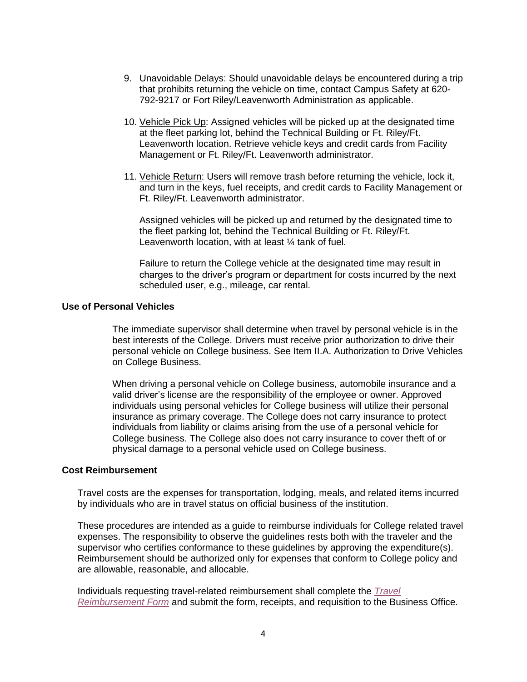- 9. Unavoidable Delays: Should unavoidable delays be encountered during a trip that prohibits returning the vehicle on time, contact Campus Safety at 620- 792-9217 or Fort Riley/Leavenworth Administration as applicable.
- 10. Vehicle Pick Up: Assigned vehicles will be picked up at the designated time at the fleet parking lot, behind the Technical Building or Ft. Riley/Ft. Leavenworth location. Retrieve vehicle keys and credit cards from Facility Management or Ft. Riley/Ft. Leavenworth administrator.
- 11. Vehicle Return: Users will remove trash before returning the vehicle, lock it, and turn in the keys, fuel receipts, and credit cards to Facility Management or Ft. Riley/Ft. Leavenworth administrator.

Assigned vehicles will be picked up and returned by the designated time to the fleet parking lot, behind the Technical Building or Ft. Riley/Ft. Leavenworth location, with at least ¼ tank of fuel.

Failure to return the College vehicle at the designated time may result in charges to the driver's program or department for costs incurred by the next scheduled user, e.g., mileage, car rental.

#### **Use of Personal Vehicles**

The immediate supervisor shall determine when travel by personal vehicle is in the best interests of the College. Drivers must receive prior authorization to drive their personal vehicle on College business. See Item II.A. Authorization to Drive Vehicles on College Business.

When driving a personal vehicle on College business, automobile insurance and a valid driver's license are the responsibility of the employee or owner. Approved individuals using personal vehicles for College business will utilize their personal insurance as primary coverage. The College does not carry insurance to protect individuals from liability or claims arising from the use of a personal vehicle for College business. The College also does not carry insurance to cover theft of or physical damage to a personal vehicle used on College business.

## **Cost Reimbursement**

Travel costs are the expenses for transportation, lodging, meals, and related items incurred by individuals who are in travel status on official business of the institution.

These procedures are intended as a guide to reimburse individuals for College related travel expenses. The responsibility to observe the guidelines rests both with the traveler and the supervisor who certifies conformance to these guidelines by approving the expenditure(s). Reimbursement should be authorized only for expenses that conform to College policy and are allowable, reasonable, and allocable.

Individuals requesting travel-related reimbursement shall complete the *[Travel](https://docs.bartonccc.edu/procedures/forms/TRAVEL_REIMBURSEMENT_FORM.xlsx) [Reimbursement](https://docs.bartonccc.edu/procedures/forms/TRAVEL_REIMBURSEMENT_FORM.xlsx) Form* and submit the form, receipts, and requisition to the Business Office.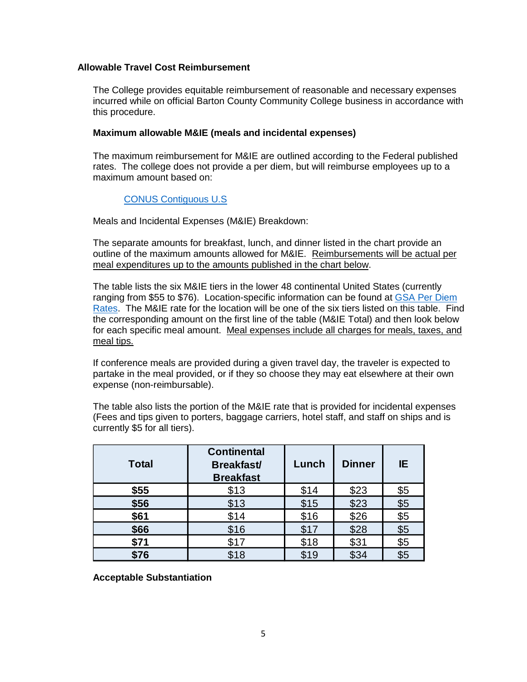# **Allowable Travel Cost Reimbursement**

The College provides equitable reimbursement of reasonable and necessary expenses incurred while on official Barton County Community College business in accordance with this procedure.

## **Maximum allowable M&IE (meals and incidental expenses)**

The maximum reimbursement for M&IE are outlined according to the Federal published rates. The college does not provide a per diem, but will reimburse employees up to a maximum amount based on:

# [CONUS Contiguous U.S](https://www.gsa.gov/portal/content/104877)

Meals and Incidental Expenses (M&IE) Breakdown:

The separate amounts for breakfast, lunch, and dinner listed in the chart provide an outline of the maximum amounts allowed for M&IE. Reimbursements will be actual per meal expenditures up to the amounts published in the chart below.

The table lists the six M&IE tiers in the lower 48 continental United States (currently ranging from \$55 to \$76). Location-specific information can be found at [GSA Per Diem](http://www.gsa.gov/perdiem)  [Rates.](http://www.gsa.gov/perdiem) The M&IE rate for the location will be one of the six tiers listed on this table. Find the corresponding amount on the first line of the table (M&IE Total) and then look below for each specific meal amount. Meal expenses include all charges for meals, taxes, and meal tips.

If conference meals are provided during a given travel day, the traveler is expected to partake in the meal provided, or if they so choose they may eat elsewhere at their own expense (non-reimbursable).

The table also lists the portion of the M&IE rate that is provided for incidental expenses (Fees and tips given to porters, baggage carriers, hotel staff, and staff on ships and is currently \$5 for all tiers).

| <b>Total</b> | <b>Continental</b><br><b>Breakfast/</b><br><b>Breakfast</b> | Lunch | <b>Dinner</b> | IE. |
|--------------|-------------------------------------------------------------|-------|---------------|-----|
| \$55         | \$13                                                        | \$14  | \$23          | \$5 |
| \$56         | \$13                                                        | \$15  | \$23          | \$5 |
| \$61         | \$14                                                        | \$16  | \$26          | \$5 |
| \$66         | \$16                                                        | \$17  | \$28          | \$5 |
| \$71         | \$17                                                        | \$18  | \$31          | \$5 |
| \$76         | \$18                                                        | \$19  | \$34          | \$5 |

**Acceptable Substantiation**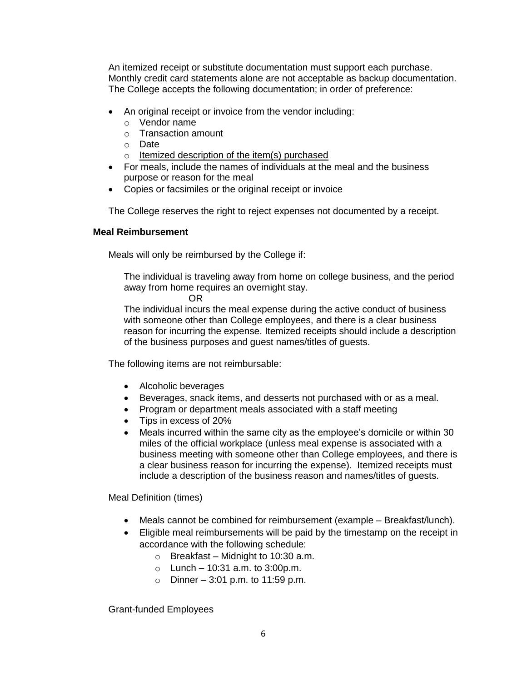An itemized receipt or substitute documentation must support each purchase. Monthly credit card statements alone are not acceptable as backup documentation. The College accepts the following documentation; in order of preference:

- An original receipt or invoice from the vendor including:
	- o Vendor name
	- o Transaction amount
	- o Date
	- o Itemized description of the item(s) purchased
- For meals, include the names of individuals at the meal and the business purpose or reason for the meal
- Copies or facsimiles or the original receipt or invoice

The College reserves the right to reject expenses not documented by a receipt.

### **Meal Reimbursement**

Meals will only be reimbursed by the College if:

The individual is traveling away from home on college business, and the period away from home requires an overnight stay. OR

The individual incurs the meal expense during the active conduct of business with someone other than College employees, and there is a clear business reason for incurring the expense. Itemized receipts should include a description of the business purposes and guest names/titles of guests.

The following items are not reimbursable:

- Alcoholic beverages
- Beverages, snack items, and desserts not purchased with or as a meal.
- Program or department meals associated with a staff meeting
- Tips in excess of 20%
- Meals incurred within the same city as the employee's domicile or within 30 miles of the official workplace (unless meal expense is associated with a business meeting with someone other than College employees, and there is a clear business reason for incurring the expense). Itemized receipts must include a description of the business reason and names/titles of guests.

Meal Definition (times)

- Meals cannot be combined for reimbursement (example Breakfast/lunch).
- Eligible meal reimbursements will be paid by the timestamp on the receipt in accordance with the following schedule:
	- $\circ$  Breakfast Midnight to 10:30 a.m.
	- $\circ$  Lunch 10:31 a.m. to 3:00p.m.
	- $\circ$  Dinner 3:01 p.m. to 11:59 p.m.

Grant-funded Employees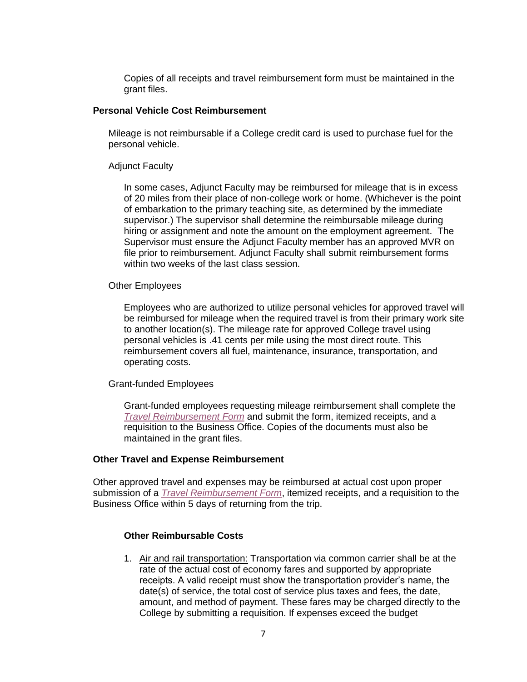Copies of all receipts and travel reimbursement form must be maintained in the grant files.

#### **Personal Vehicle Cost Reimbursement**

Mileage is not reimbursable if a College credit card is used to purchase fuel for the personal vehicle.

#### Adjunct Faculty

In some cases, Adjunct Faculty may be reimbursed for mileage that is in excess of 20 miles from their place of non-college work or home. (Whichever is the point of embarkation to the primary teaching site, as determined by the immediate supervisor.) The supervisor shall determine the reimbursable mileage during hiring or assignment and note the amount on the employment agreement. The Supervisor must ensure the Adjunct Faculty member has an approved MVR on file prior to reimbursement. Adjunct Faculty shall submit reimbursement forms within two weeks of the last class session.

#### Other Employees

Employees who are authorized to utilize personal vehicles for approved travel will be reimbursed for mileage when the required travel is from their primary work site to another location(s). The mileage rate for approved College travel using personal vehicles is .41 cents per mile using the most direct route. This reimbursement covers all fuel, maintenance, insurance, transportation, and operating costs.

### Grant-funded Employees

Grant-funded employees requesting mileage reimbursement shall complete the *Travel [Reimbursement](https://docs.bartonccc.edu/procedures/forms/TRAVEL_REIMBURSEMENT_FORM.xlsx) Form* and submit the form, itemized receipts, and a requisition to the Business Office. Copies of the documents must also be maintained in the grant files.

#### **Other Travel and Expense Reimbursement**

Other approved travel and expenses may be reimbursed at actual cost upon proper submission of a *[Travel Reimbursement Form](https://docs.bartonccc.edu/procedures/forms/TRAVEL_REIMBURSEMENT_FORM.xlsx)*, itemized receipts, and a requisition to the Business Office within 5 days of returning from the trip.

### **Other Reimbursable Costs**

1. Air and rail transportation: Transportation via common carrier shall be at the rate of the actual cost of economy fares and supported by appropriate receipts. A valid receipt must show the transportation provider's name, the date(s) of service, the total cost of service plus taxes and fees, the date, amount, and method of payment. These fares may be charged directly to the College by submitting a requisition. If expenses exceed the budget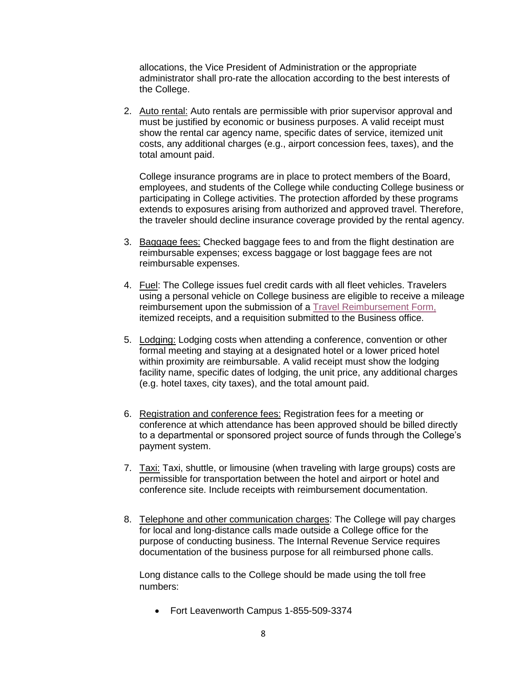allocations, the Vice President of Administration or the appropriate administrator shall pro-rate the allocation according to the best interests of the College.

2. Auto rental: Auto rentals are permissible with prior supervisor approval and must be justified by economic or business purposes. A valid receipt must show the rental car agency name, specific dates of service, itemized unit costs, any additional charges (e.g., airport concession fees, taxes), and the total amount paid.

College insurance programs are in place to protect members of the Board, employees, and students of the College while conducting College business or participating in College activities. The protection afforded by these programs extends to exposures arising from authorized and approved travel. Therefore, the traveler should decline insurance coverage provided by the rental agency.

- 3. Baggage fees: Checked baggage fees to and from the flight destination are reimbursable expenses; excess baggage or lost baggage fees are not reimbursable expenses.
- 4. Fuel: The College issues fuel credit cards with all fleet vehicles. Travelers using a personal vehicle on College business are eligible to receive a mileage reimbursement upon the submission of a [Travel Reimbursement Form,](https://docs.bartonccc.edu/procedures/forms/TRAVEL_REIMBURSEMENT_FORM.xlsx) itemized receipts, and a requisition submitted to the Business office.
- 5. Lodging: Lodging costs when attending a conference, convention or other formal meeting and staying at a designated hotel or a lower priced hotel within proximity are reimbursable. A valid receipt must show the lodging facility name, specific dates of lodging, the unit price, any additional charges (e.g. hotel taxes, city taxes), and the total amount paid.
- 6. Registration and conference fees: Registration fees for a meeting or conference at which attendance has been approved should be billed directly to a departmental or sponsored project source of funds through the College's payment system.
- 7. Taxi: Taxi, shuttle, or limousine (when traveling with large groups) costs are permissible for transportation between the hotel and airport or hotel and conference site. Include receipts with reimbursement documentation.
- 8. Telephone and other communication charges: The College will pay charges for local and long-distance calls made outside a College office for the purpose of conducting business. The Internal Revenue Service requires documentation of the business purpose for all reimbursed phone calls.

Long distance calls to the College should be made using the toll free numbers:

• Fort Leavenworth Campus 1-855-509-3374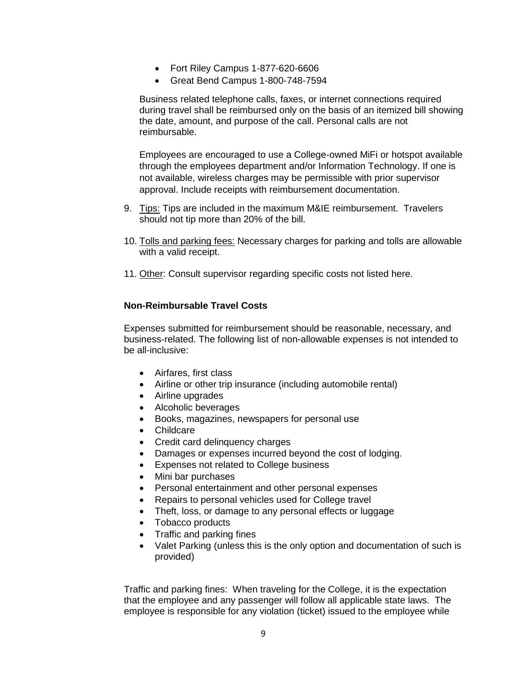- Fort Riley Campus 1-877-620-6606
- Great Bend Campus 1-800-748-7594

Business related telephone calls, faxes, or internet connections required during travel shall be reimbursed only on the basis of an itemized bill showing the date, amount, and purpose of the call. Personal calls are not reimbursable.

Employees are encouraged to use a College-owned MiFi or hotspot available through the employees department and/or Information Technology. If one is not available, wireless charges may be permissible with prior supervisor approval. Include receipts with reimbursement documentation.

- 9. Tips: Tips are included in the maximum M&IE reimbursement. Travelers should not tip more than 20% of the bill.
- 10. Tolls and parking fees: Necessary charges for parking and tolls are allowable with a valid receipt.
- 11. Other: Consult supervisor regarding specific costs not listed here.

# **Non-Reimbursable Travel Costs**

Expenses submitted for reimbursement should be reasonable, necessary, and business-related. The following list of non-allowable expenses is not intended to be all-inclusive:

- Airfares, first class
- Airline or other trip insurance (including automobile rental)
- Airline upgrades
- Alcoholic beverages
- Books, magazines, newspapers for personal use
- Childcare
- Credit card delinguency charges
- Damages or expenses incurred beyond the cost of lodging.
- Expenses not related to College business
- Mini bar purchases
- Personal entertainment and other personal expenses
- Repairs to personal vehicles used for College travel
- Theft, loss, or damage to any personal effects or luggage
- Tobacco products
- Traffic and parking fines
- Valet Parking (unless this is the only option and documentation of such is provided)

Traffic and parking fines: When traveling for the College, it is the expectation that the employee and any passenger will follow all applicable state laws. The employee is responsible for any violation (ticket) issued to the employee while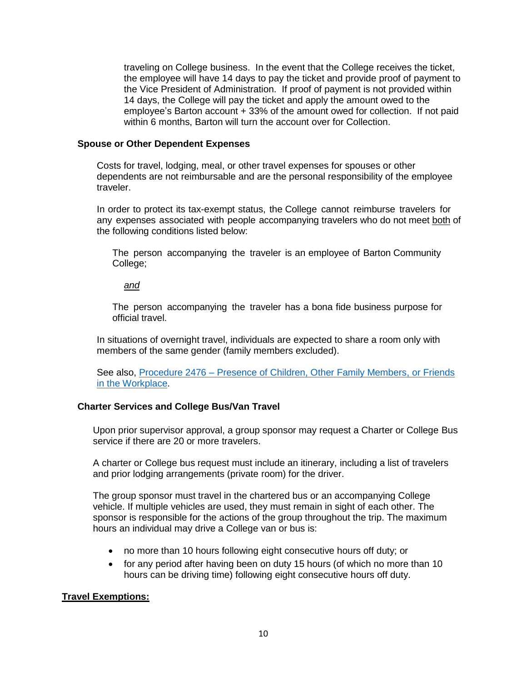traveling on College business. In the event that the College receives the ticket, the employee will have 14 days to pay the ticket and provide proof of payment to the Vice President of Administration. If proof of payment is not provided within 14 days, the College will pay the ticket and apply the amount owed to the employee's Barton account  $+33%$  of the amount owed for collection. If not paid within 6 months, Barton will turn the account over for Collection.

## **Spouse or Other Dependent Expenses**

Costs for travel, lodging, meal, or other travel expenses for spouses or other dependents are not reimbursable and are the personal responsibility of the employee traveler.

In order to protect its tax-exempt status, the College cannot reimburse travelers for any expenses associated with people accompanying travelers who do not meet both of the following conditions listed below:

The person accompanying the traveler is an employee of Barton Community College:

*and*

The person accompanying the traveler has a bona fide business purpose for official travel.

In situations of overnight travel, individuals are expected to share a room only with members of the same gender (family members excluded).

See also, Procedure 2476 – [Presence of Children, Other Family Members,](http://docs.bartonccc.edu/procedures/2476-childrenworkplace.pdf) or Friends [in the Workplace.](http://docs.bartonccc.edu/procedures/2476-childrenworkplace.pdf)

# **Charter Services and College Bus/Van Travel**

Upon prior supervisor approval, a group sponsor may request a Charter or College Bus service if there are 20 or more travelers.

A charter or College bus request must include an itinerary, including a list of travelers and prior lodging arrangements (private room) for the driver.

The group sponsor must travel in the chartered bus or an accompanying College vehicle. If multiple vehicles are used, they must remain in sight of each other. The sponsor is responsible for the actions of the group throughout the trip. The maximum hours an individual may drive a College van or bus is:

- no more than 10 hours following eight consecutive hours off duty; or
- for any period after having been on duty 15 hours (of which no more than 10 hours can be driving time) following eight consecutive hours off duty.

# **Travel Exemptions:**